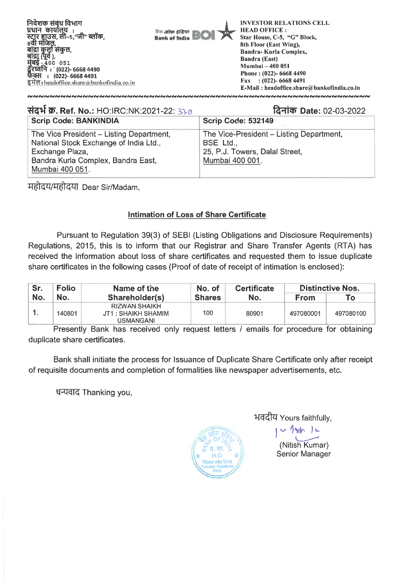

| संदर्भ क्र. Ref. No.: HO:IRC:NK:2021-22: 330                                                                                                                   | दिनांक Date: 02-03-2022                                                                                    |
|----------------------------------------------------------------------------------------------------------------------------------------------------------------|------------------------------------------------------------------------------------------------------------|
| <b>Scrip Code: BANKINDIA</b>                                                                                                                                   | Scrip Code: 532149                                                                                         |
| The Vice President - Listing Department,<br>National Stock Exchange of India Ltd.,<br>Exchange Plaza,<br>Bandra Kurla Complex, Bandra East,<br>Mumbai 400 051. | The Vice-President - Listing Department,<br>BSE Ltd.,<br>25, P.J. Towers, Dalal Street,<br>Mumbai 400 001. |

महोदय/महोदया Dear Sir/Madam,

## **Intimation of Loss of Share Certificate**

Pursuant to Regulation 39(3) of SEBI (Listing Obligations and Disclosure Requirements) Regulations, 2015, this is to inform that our Registrar and Share Transfer Agents (RTA) has received the information about loss of share certificates and requested them to issue duplicate share certificates in the following cases (Proof of date of receipt of intimation is enclosed):

| Sr. | <b>Folio</b> | Name of the                                                     | No. of        | <b>Certificate</b> | <b>Distinctive Nos.</b> |           |
|-----|--------------|-----------------------------------------------------------------|---------------|--------------------|-------------------------|-----------|
| No. | No.          | Shareholder(s)                                                  | <b>Shares</b> | No.                | <b>From</b>             | Го        |
|     | 140801       | <b>RIZWAN SHAIKH</b><br>JT1 : SHAIKH SHAMIM<br><b>USMANGANI</b> | 100           | 80901              | 497080001               | 497080100 |

Presently Bank has received only request letters / emails for procedure for obtaining duplicate share certificates.

Bank shall initiate the process for Issuance of Duplicate Share Certificate only after receipt of requisite documents and completion of formalities like newspaper advertisements, etc.

धन्यवाद Thanking you,



1-1-dt7 Yours faithfully,

(Nitish Kumar) Senior Manager

1 1mar 1 m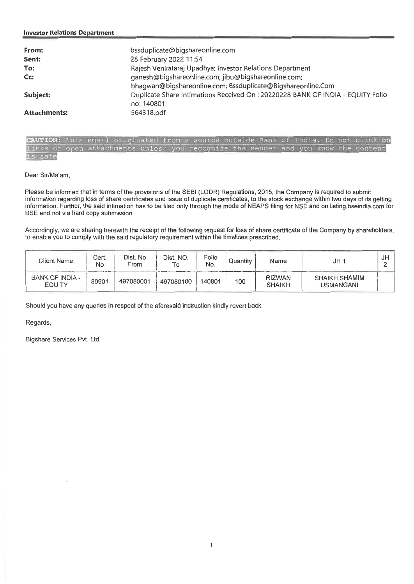| From:               | bssduplicate@bigshareonline.com                                                |
|---------------------|--------------------------------------------------------------------------------|
| Sent:               | 28 February 2022 11:54                                                         |
| To:                 | Rajesh Venkataraj Upadhya; Investor Relations Department                       |
| Cc:                 | ganesh@bigshareonline.com; jibu@bigshareonline.com;                            |
|                     | bhagwan@bigshareonline.com; Bssduplicate@Bigshareonline.Com                    |
| Subject:            | Duplicate Share Intimations Received On: 20220228 BANK OF INDIA - EQUITY Folio |
|                     | no: 140801                                                                     |
| <b>Attachments:</b> | 564318.pdf                                                                     |

CAUTION: This email originated from a source outside Bank of India. Do not cl links or open attachments unless you recognize the sender and you know the safe

Dear Sir/Ma'am,

Please be informed that in terms of the provisions of the SEBI (LODR) Regulations, 2015, the Company is required to submit information regarding loss of share certificates and issue of duplicate certificates, to the stock exchange within two days of its getting information. Further, the said intimation has to be filed only through the mode of NEAPS filing for NSE and on listing bseindia.com for BSE and not via hard copy submission.

Accordingly, we are sharing herewith the receipt of the following request for loss of share certificate of the Company by shareholders, to enable you to comply with the said regulatory requirement within the timelines prescribed.

| Client Name                      | Cert.<br>No | Dist. No<br>From | Dist. NO.<br>To | Folio<br>No. | Quantity | Name                           | JH 1                              | JH |
|----------------------------------|-------------|------------------|-----------------|--------------|----------|--------------------------------|-----------------------------------|----|
| BANK OF INDIA -<br><b>EQUITY</b> | 80901       | 497080001        | 497080100       | 140801       | 100      | <b>RIZWAN</b><br><b>SHAIKH</b> | SHAIKH SHAMIM<br><b>USMANGANI</b> |    |

Should you have any queries in respect of the aforesaid instruction kindly revert back.

Regards,

Bigshare Services Pvt. Ltd.